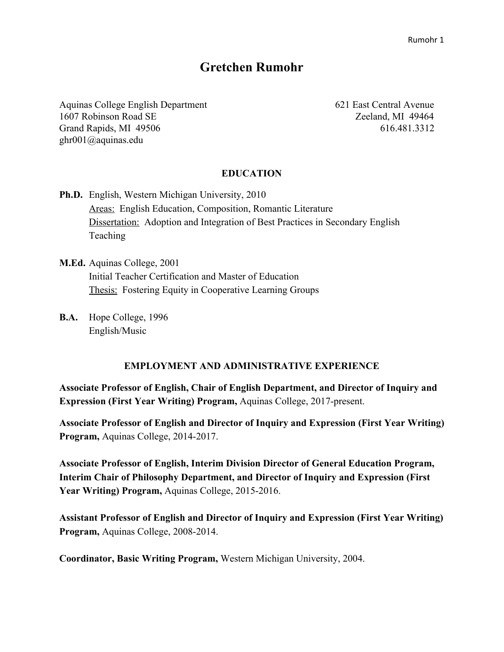# **Gretchen Rumohr**

Aquinas College English Department 621 East Central Avenue 1607 Robinson Road SE Zeeland, MI 49464 Grand Rapids, MI 49506 616.481.3312 ghr001@aquinas.edu

# **EDUCATION**

- **Ph.D.** English, Western Michigan University, 2010 Areas: English Education, Composition, Romantic Literature Dissertation: Adoption and Integration of Best Practices in Secondary English **Teaching**
- **M.Ed.** Aquinas College, 2001 Initial Teacher Certification and Master of Education Thesis: Fostering Equity in Cooperative Learning Groups
- **B.A.** Hope College, 1996 English/Music

#### **EMPLOYMENT AND ADMINISTRATIVE EXPERIENCE**

**Associate Professor of English, Chair of English Department, and Director of Inquiry and Expression (First Year Writing) Program,** Aquinas College, 2017-present.

**Associate Professor of English and Director of Inquiry and Expression (First Year Writing) Program,** Aquinas College, 2014-2017.

**Associate Professor of English, Interim Division Director of General Education Program, Interim Chair of Philosophy Department, and Director of Inquiry and Expression (First Year Writing) Program,** Aquinas College, 2015-2016.

**Assistant Professor of English and Director of Inquiry and Expression (First Year Writing) Program,** Aquinas College, 2008-2014.

**Coordinator, Basic Writing Program,** Western Michigan University, 2004.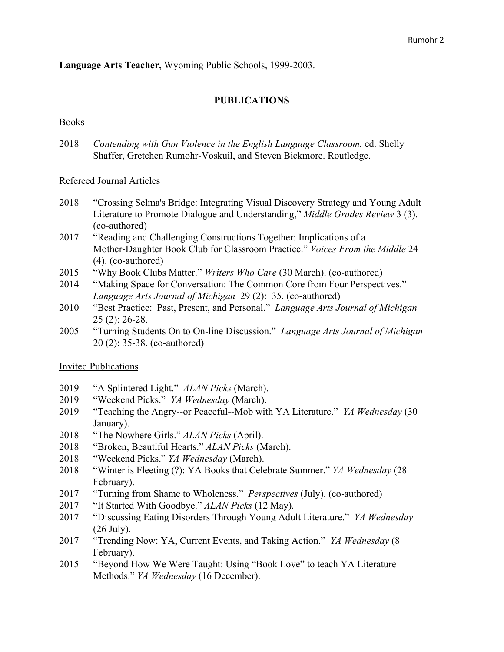**Language Arts Teacher,** Wyoming Public Schools, 1999-2003.

# **PUBLICATIONS**

# Books

2018 *Contending with Gun Violence in the English Language Classroom.* ed. Shelly Shaffer, Gretchen Rumohr-Voskuil, and Steven Bickmore. Routledge.

# Refereed Journal Articles

- 2018 "Crossing Selma's Bridge: Integrating Visual Discovery Strategy and Young Adult Literature to Promote Dialogue and Understanding," *Middle Grades Review* 3 (3). (co-authored)
- 2017 "Reading and Challenging Constructions Together: Implications of a Mother-Daughter Book Club for Classroom Practice." *Voices From the Middle* 24 (4). (co-authored)
- 2015 "Why Book Clubs Matter." *Writers Who Care* (30 March). (co-authored)
- 2014 "Making Space for Conversation: The Common Core from Four Perspectives." *Language Arts Journal of Michigan* 29 (2): 35. (co-authored)
- 2010 "Best Practice: Past, Present, and Personal." *Language Arts Journal of Michigan* 25 (2): 26-28.
- 2005 "Turning Students On to On-line Discussion." *Language Arts Journal of Michigan* 20 (2): 35-38. (co-authored)

# Invited Publications

- 2019 "A Splintered Light." *ALAN Picks* (March).
- 2019 "Weekend Picks." *YA Wednesday* (March).
- 2019 "Teaching the Angry--or Peaceful--Mob with YA Literature." *YA Wednesday* (30 January).
- 2018 "The Nowhere Girls." *ALAN Picks* (April).
- 2018 "Broken, Beautiful Hearts." *ALAN Picks* (March).
- 2018 "Weekend Picks." *YA Wednesday* (March).
- 2018 "Winter is Fleeting (?): YA Books that Celebrate Summer." *YA Wednesday* (28 February).
- 2017 "Turning from Shame to Wholeness." *Perspectives* (July). (co-authored)
- 2017 "It Started With Goodbye." *ALAN Picks* (12 May).
- 2017 "Discussing Eating Disorders Through Young Adult Literature." *YA Wednesday* (26 July).
- 2017 "Trending Now: YA, Current Events, and Taking Action." *YA Wednesday* (8 February).
- 2015 "Beyond How We Were Taught: Using "Book Love" to teach YA Literature Methods." *YA Wednesday* (16 December).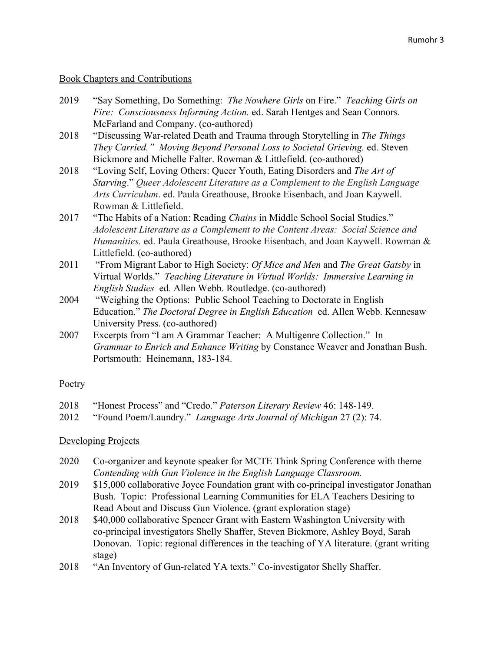# Book Chapters and Contributions

- 2019 "Say Something, Do Something: *The Nowhere Girls* on Fire." *Teaching Girls on Fire: Consciousness Informing Action.* ed. Sarah Hentges and Sean Connors. McFarland and Company. (co-authored)
- 2018 "Discussing War-related Death and Trauma through Storytelling in *The Things They Carried." Moving Beyond Personal Loss to Societal Grieving.* ed. Steven Bickmore and Michelle Falter. Rowman & Littlefield. (co-authored)
- 2018 "Loving Self, Loving Others: Queer Youth, Eating Disorders and *The Art of Starving*." *Queer Adolescent Literature as a Complement to the English Language Arts Curriculum*. ed. Paula Greathouse, Brooke Eisenbach, and Joan Kaywell. Rowman & Littlefield.
- 2017 "The Habits of a Nation: Reading *Chains* in Middle School Social Studies." *Adolescent Literature as a Complement to the Content Areas: Social Science and Humanities.* ed. Paula Greathouse, Brooke Eisenbach, and Joan Kaywell. Rowman & Littlefield. (co-authored)
- 2011 "From Migrant Labor to High Society: *Of Mice and Men* and *The Great Gatsby* in Virtual Worlds." *Teaching Literature in Virtual Worlds: Immersive Learning in English Studies* ed. Allen Webb. Routledge. (co-authored)
- 2004 "Weighing the Options: Public School Teaching to Doctorate in English Education." *The Doctoral Degree in English Education* ed. Allen Webb. Kennesaw University Press. (co-authored)
- 2007 Excerpts from "I am A Grammar Teacher: A Multigenre Collection." In *Grammar to Enrich and Enhance Writing* by Constance Weaver and Jonathan Bush. Portsmouth: Heinemann, 183-184.

# **Poetry**

- 2018 "Honest Process" and "Credo." *Paterson Literary Review* 46: 148-149.
- 2012 "Found Poem/Laundry." *Language Arts Journal of Michigan* 27 (2): 74.

# Developing Projects

- 2020 Co-organizer and keynote speaker for MCTE Think Spring Conference with theme *Contending with Gun Violence in the English Language Classroom.*
- 2019 \$15,000 collaborative Joyce Foundation grant with co-principal investigator Jonathan Bush. Topic: Professional Learning Communities for ELA Teachers Desiring to Read About and Discuss Gun Violence. (grant exploration stage)
- 2018 \$40,000 collaborative Spencer Grant with Eastern Washington University with co-principal investigators Shelly Shaffer, Steven Bickmore, Ashley Boyd, Sarah Donovan. Topic: regional differences in the teaching of YA literature. (grant writing stage)
- 2018 "An Inventory of Gun-related YA texts." Co-investigator Shelly Shaffer.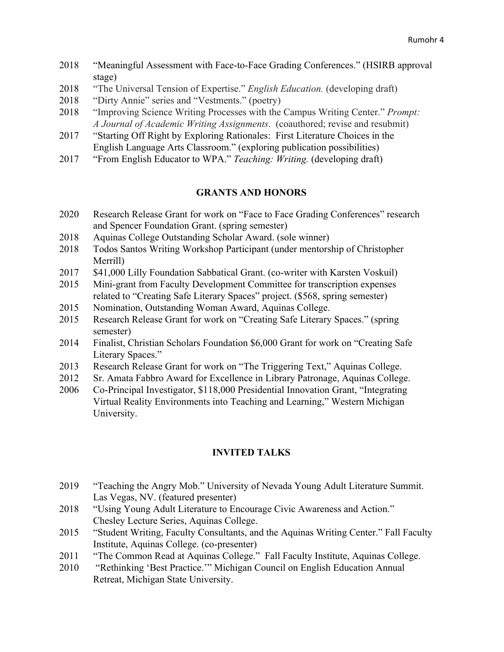- 2018 "Meaningful Assessment with Face-to-Face Grading Conferences." (HSIRB approval stage)
- 2018 "The Universal Tension of Expertise." *English Education.* (developing draft)
- 2018 "Dirty Annie" series and "Vestments." (poetry)
- 2018 "Improving Science Writing Processes with the Campus Writing Center." *Prompt: A Journal of Academic Writing Assignments*. (coauthored; revise and resubmit)
- 2017 "Starting Off Right by Exploring Rationales: First Literature Choices in the English Language Arts Classroom." (exploring publication possibilities)
- 2017 "From English Educator to WPA." *Teaching: Writing.* (developing draft)

# **GRANTS AND HONORS**

- 2020 Research Release Grant for work on "Face to Face Grading Conferences" research and Spencer Foundation Grant. (spring semester)
- 2018 Aquinas College Outstanding Scholar Award. (sole winner)
- 2018 Todos Santos Writing Workshop Participant (under mentorship of Christopher Merrill)
- 2017 \$41,000 Lilly Foundation Sabbatical Grant. (co-writer with Karsten Voskuil)
- 2015 Mini-grant from Faculty Development Committee for transcription expenses related to "Creating Safe Literary Spaces" project. (\$568, spring semester)
- 2015 Nomination, Outstanding Woman Award, Aquinas College.
- 2015 Research Release Grant for work on "Creating Safe Literary Spaces." (spring semester)
- 2014 Finalist, Christian Scholars Foundation \$6,000 Grant for work on "Creating Safe Literary Spaces."
- 2013 Research Release Grant for work on "The Triggering Text," Aquinas College.
- 2012 Sr. Amata Fabbro Award for Excellence in Library Patronage, Aquinas College.
- 2006 Co-Principal Investigator, \$118,000 Presidential Innovation Grant, "Integrating Virtual Reality Environments into Teaching and Learning," Western Michigan University.

# **INVITED TALKS**

- 2019 "Teaching the Angry Mob." University of Nevada Young Adult Literature Summit. Las Vegas, NV. (featured presenter)
- 2018 "Using Young Adult Literature to Encourage Civic Awareness and Action." Chesley Lecture Series, Aquinas College.
- 2015 "Student Writing, Faculty Consultants, and the Aquinas Writing Center." Fall Faculty Institute, Aquinas College. (co-presenter)
- 2011 "The Common Read at Aquinas College." Fall Faculty Institute, Aquinas College.
- 2010 "Rethinking 'Best Practice.'" Michigan Council on English Education Annual Retreat, Michigan State University.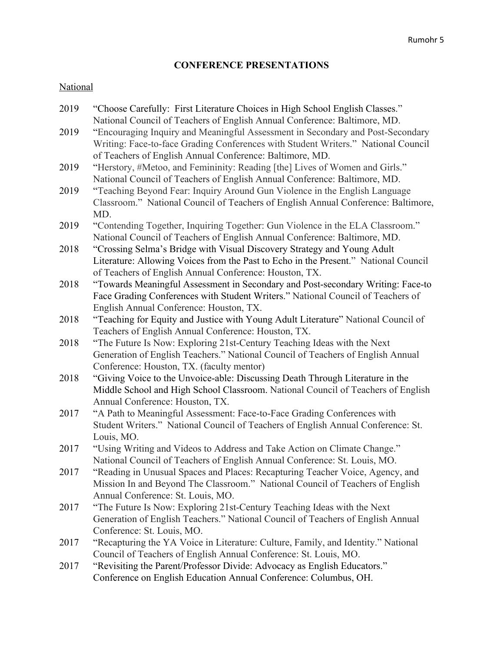# **CONFERENCE PRESENTATIONS**

# **National**

| 2019 | "Choose Carefully: First Literature Choices in High School English Classes."<br>National Council of Teachers of English Annual Conference: Baltimore, MD. |
|------|-----------------------------------------------------------------------------------------------------------------------------------------------------------|
| 2019 | "Encouraging Inquiry and Meaningful Assessment in Secondary and Post-Secondary                                                                            |
|      | Writing: Face-to-face Grading Conferences with Student Writers." National Council<br>of Teachers of English Annual Conference: Baltimore, MD.             |
| 2019 | "Herstory, #Metoo, and Femininity: Reading [the] Lives of Women and Girls."                                                                               |
|      | National Council of Teachers of English Annual Conference: Baltimore, MD.                                                                                 |
| 2019 | "Teaching Beyond Fear: Inquiry Around Gun Violence in the English Language                                                                                |
|      |                                                                                                                                                           |
|      | Classroom." National Council of Teachers of English Annual Conference: Baltimore,                                                                         |
|      | MD.                                                                                                                                                       |
| 2019 | "Contending Together, Inquiring Together: Gun Violence in the ELA Classroom."                                                                             |
|      | National Council of Teachers of English Annual Conference: Baltimore, MD.                                                                                 |
| 2018 | "Crossing Selma's Bridge with Visual Discovery Strategy and Young Adult                                                                                   |
|      | Literature: Allowing Voices from the Past to Echo in the Present." National Council                                                                       |
|      | of Teachers of English Annual Conference: Houston, TX.                                                                                                    |
| 2018 | "Towards Meaningful Assessment in Secondary and Post-secondary Writing: Face-to                                                                           |
|      | Face Grading Conferences with Student Writers." National Council of Teachers of                                                                           |
|      | English Annual Conference: Houston, TX.                                                                                                                   |
| 2018 | "Teaching for Equity and Justice with Young Adult Literature" National Council of                                                                         |
|      | Teachers of English Annual Conference: Houston, TX.                                                                                                       |
| 2018 | "The Future Is Now: Exploring 21st-Century Teaching Ideas with the Next                                                                                   |
|      | Generation of English Teachers." National Council of Teachers of English Annual                                                                           |
|      | Conference: Houston, TX. (faculty mentor)                                                                                                                 |
| 2018 | "Giving Voice to the Unvoice-able: Discussing Death Through Literature in the                                                                             |
|      | Middle School and High School Classroom. National Council of Teachers of English                                                                          |
|      | Annual Conference: Houston, TX.                                                                                                                           |
| 2017 | "A Path to Meaningful Assessment: Face-to-Face Grading Conferences with                                                                                   |
|      | Student Writers." National Council of Teachers of English Annual Conference: St.                                                                          |
|      | Louis, MO.                                                                                                                                                |
| 2017 | "Using Writing and Videos to Address and Take Action on Climate Change."                                                                                  |
|      | National Council of Teachers of English Annual Conference: St. Louis, MO.                                                                                 |
| 2017 | "Reading in Unusual Spaces and Places: Recapturing Teacher Voice, Agency, and                                                                             |
|      | Mission In and Beyond The Classroom." National Council of Teachers of English                                                                             |
|      | Annual Conference: St. Louis, MO.                                                                                                                         |
| 2017 | "The Future Is Now: Exploring 21st-Century Teaching Ideas with the Next                                                                                   |
|      | Generation of English Teachers." National Council of Teachers of English Annual                                                                           |
|      | Conference: St. Louis, MO.                                                                                                                                |
| 2017 | "Recapturing the YA Voice in Literature: Culture, Family, and Identity." National                                                                         |
|      | Council of Teachers of English Annual Conference: St. Louis, MO.                                                                                          |
| 2017 | "Revisiting the Parent/Professor Divide: Advocacy as English Educators."                                                                                  |
|      | Conference on English Education Annual Conference: Columbus, OH.                                                                                          |
|      |                                                                                                                                                           |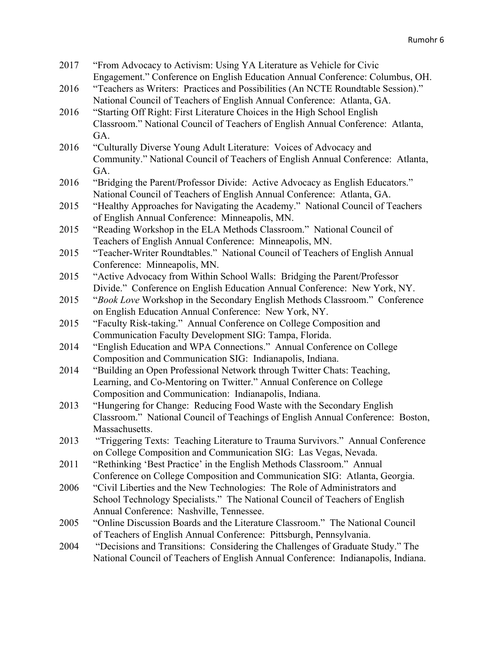| 2017 | "From Advocacy to Activism: Using YA Literature as Vehicle for Civic              |
|------|-----------------------------------------------------------------------------------|
|      | Engagement." Conference on English Education Annual Conference: Columbus, OH.     |
| 2016 | "Teachers as Writers: Practices and Possibilities (An NCTE Roundtable Session)."  |
|      | National Council of Teachers of English Annual Conference: Atlanta, GA.           |
| 2016 | "Starting Off Right: First Literature Choices in the High School English          |
|      | Classroom." National Council of Teachers of English Annual Conference: Atlanta,   |
|      | GA.                                                                               |
| 2016 | "Culturally Diverse Young Adult Literature: Voices of Advocacy and                |
|      | Community." National Council of Teachers of English Annual Conference: Atlanta,   |
|      | GA.                                                                               |
| 2016 | "Bridging the Parent/Professor Divide: Active Advocacy as English Educators."     |
|      | National Council of Teachers of English Annual Conference: Atlanta, GA.           |
| 2015 | "Healthy Approaches for Navigating the Academy." National Council of Teachers     |
|      | of English Annual Conference: Minneapolis, MN.                                    |
| 2015 | "Reading Workshop in the ELA Methods Classroom." National Council of              |
|      | Teachers of English Annual Conference: Minneapolis, MN.                           |
| 2015 | "Teacher-Writer Roundtables." National Council of Teachers of English Annual      |
|      | Conference: Minneapolis, MN.                                                      |
| 2015 | "Active Advocacy from Within School Walls: Bridging the Parent/Professor          |
|      | Divide." Conference on English Education Annual Conference: New York, NY.         |
| 2015 | "Book Love Workshop in the Secondary English Methods Classroom." Conference       |
|      | on English Education Annual Conference: New York, NY.                             |
| 2015 | "Faculty Risk-taking." Annual Conference on College Composition and               |
|      | Communication Faculty Development SIG: Tampa, Florida.                            |
| 2014 | "English Education and WPA Connections." Annual Conference on College             |
|      | Composition and Communication SIG: Indianapolis, Indiana.                         |
| 2014 | "Building an Open Professional Network through Twitter Chats: Teaching,           |
|      | Learning, and Co-Mentoring on Twitter." Annual Conference on College              |
|      | Composition and Communication: Indianapolis, Indiana.                             |
| 2013 | "Hungering for Change: Reducing Food Waste with the Secondary English             |
|      | Classroom." National Council of Teachings of English Annual Conference: Boston,   |
|      | Massachusetts.                                                                    |
| 2013 | "Triggering Texts: Teaching Literature to Trauma Survivors." Annual Conference    |
|      | on College Composition and Communication SIG: Las Vegas, Nevada.                  |
| 2011 | "Rethinking 'Best Practice' in the English Methods Classroom." Annual             |
|      | Conference on College Composition and Communication SIG: Atlanta, Georgia.        |
| 2006 | "Civil Liberties and the New Technologies: The Role of Administrators and         |
|      | School Technology Specialists." The National Council of Teachers of English       |
|      | Annual Conference: Nashville, Tennessee.                                          |
| 2005 | "Online Discussion Boards and the Literature Classroom." The National Council     |
|      | of Teachers of English Annual Conference: Pittsburgh, Pennsylvania.               |
| 2004 | "Decisions and Transitions: Considering the Challenges of Graduate Study." The    |
|      | National Council of Teachers of English Annual Conference: Indianapolis, Indiana. |
|      |                                                                                   |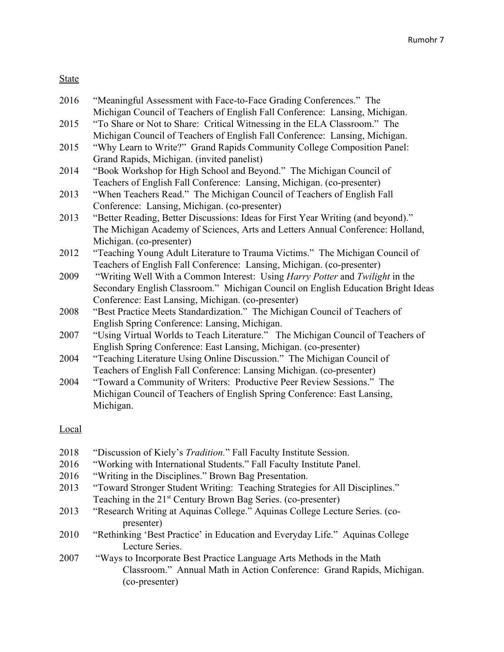# State

| 2016 | "Meaningful Assessment with Face-to-Face Grading Conferences." The                         |
|------|--------------------------------------------------------------------------------------------|
|      | Michigan Council of Teachers of English Fall Conference: Lansing, Michigan.                |
| 2015 | "To Share or Not to Share: Critical Witnessing in the ELA Classroom." The                  |
|      | Michigan Council of Teachers of English Fall Conference: Lansing, Michigan.                |
| 2015 | "Why Learn to Write?" Grand Rapids Community College Composition Panel:                    |
|      | Grand Rapids, Michigan. (invited panelist)                                                 |
| 2014 | "Book Workshop for High School and Beyond." The Michigan Council of                        |
|      | Teachers of English Fall Conference: Lansing, Michigan. (co-presenter)                     |
| 2013 | "When Teachers Read." The Michigan Council of Teachers of English Fall                     |
|      | Conference: Lansing, Michigan. (co-presenter)                                              |
| 2013 | "Better Reading, Better Discussions: Ideas for First Year Writing (and beyond)."           |
|      | The Michigan Academy of Sciences, Arts and Letters Annual Conference: Holland,             |
|      | Michigan. (co-presenter)                                                                   |
| 2012 | "Teaching Young Adult Literature to Trauma Victims." The Michigan Council of               |
|      | Teachers of English Fall Conference: Lansing, Michigan. (co-presenter)                     |
| 2009 | "Writing Well With a Common Interest: Using <i>Harry Potter</i> and <i>Twilight</i> in the |
|      | Secondary English Classroom." Michigan Council on English Education Bright Ideas           |
|      | Conference: East Lansing, Michigan. (co-presenter)                                         |
| 2008 | "Best Practice Meets Standardization." The Michigan Council of Teachers of                 |
|      | English Spring Conference: Lansing, Michigan.                                              |
| 2007 | "Using Virtual Worlds to Teach Literature." The Michigan Council of Teachers of            |
|      | English Spring Conference: East Lansing, Michigan. (co-presenter)                          |
| 2004 | "Teaching Literature Using Online Discussion." The Michigan Council of                     |
|      | Teachers of English Fall Conference: Lansing Michigan. (co-presenter)                      |
| 2004 | "Toward a Community of Writers: Productive Peer Review Sessions." The                      |
|      | Michigan Council of Teachers of English Spring Conference: East Lansing,                   |
|      | Michigan.                                                                                  |
|      |                                                                                            |

# Local

| 2018 | "Discussion of Kiely's <i>Tradition</i> ." Fall Faculty Institute Session.   |
|------|------------------------------------------------------------------------------|
| 2016 | "Working with International Students." Fall Faculty Institute Panel.         |
| 2016 | "Writing in the Disciplines." Brown Bag Presentation.                        |
| 2013 | "Toward Stronger Student Writing: Teaching Strategies for All Disciplines."  |
|      | Teaching in the 21 <sup>st</sup> Century Brown Bag Series. (co-presenter)    |
| 2013 | "Research Writing at Aquinas College." Aquinas College Lecture Series. (co-  |
|      | presenter)                                                                   |
| 2010 | "Rethinking 'Best Practice' in Education and Everyday Life." Aquinas College |
|      | Lecture Series.                                                              |
| 2007 | "Ways to Incorporate Best Practice Language Arts Methods in the Math         |
|      | Classroom." Annual Math in Action Conference: Grand Rapids, Michigan.        |
|      | (co-presenter)                                                               |
|      |                                                                              |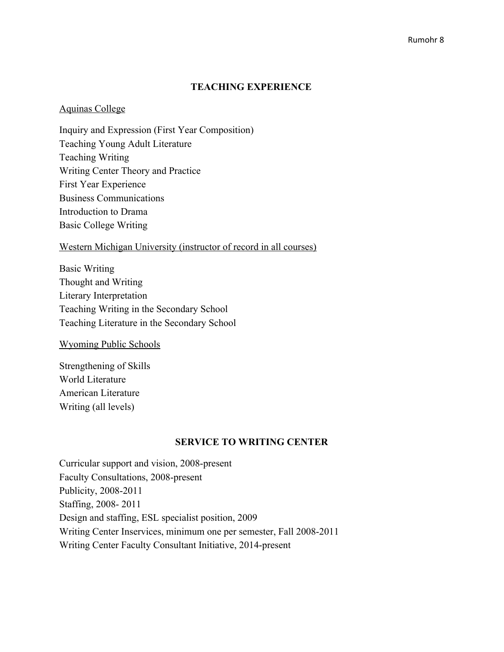#### **TEACHING EXPERIENCE**

#### Aquinas College

Inquiry and Expression (First Year Composition) Teaching Young Adult Literature Teaching Writing Writing Center Theory and Practice First Year Experience Business Communications Introduction to Drama Basic College Writing

#### Western Michigan University (instructor of record in all courses)

Basic Writing Thought and Writing Literary Interpretation Teaching Writing in the Secondary School Teaching Literature in the Secondary School

#### Wyoming Public Schools

Strengthening of Skills World Literature American Literature Writing (all levels)

#### **SERVICE TO WRITING CENTER**

Curricular support and vision, 2008-present Faculty Consultations, 2008-present Publicity, 2008-2011 Staffing, 2008- 2011 Design and staffing, ESL specialist position, 2009 Writing Center Inservices, minimum one per semester, Fall 2008-2011 Writing Center Faculty Consultant Initiative, 2014-present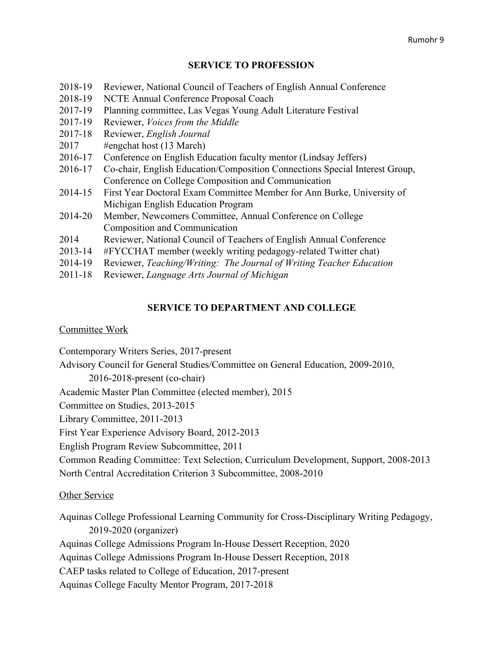# **SERVICE TO PROFESSION**

| 2018-19     | Reviewer, National Council of Teachers of English Annual Conference         |
|-------------|-----------------------------------------------------------------------------|
| 2018-19     | NCTE Annual Conference Proposal Coach                                       |
| 2017-19     | Planning committee, Las Vegas Young Adult Literature Festival               |
| 2017-19     | Reviewer, <i>Voices from the Middle</i>                                     |
| 2017-18     | Reviewer, English Journal                                                   |
| 2017        | #engchat host (13 March)                                                    |
| 2016-17     | Conference on English Education faculty mentor (Lindsay Jeffers)            |
| 2016-17     | Co-chair, English Education/Composition Connections Special Interest Group, |
|             | Conference on College Composition and Communication                         |
| 2014-15     | First Year Doctoral Exam Committee Member for Ann Burke, University of      |
|             | Michigan English Education Program                                          |
| 2014-20     | Member, Newcomers Committee, Annual Conference on College                   |
|             | Composition and Communication                                               |
| 2014        | Reviewer, National Council of Teachers of English Annual Conference         |
| 2013-14     | #FYCCHAT member (weekly writing pedagogy-related Twitter chat)              |
| 2014-19     | Reviewer, Teaching/Writing: The Journal of Writing Teacher Education        |
| $2011 - 18$ | Reviewer, Language Arts Journal of Michigan                                 |
|             |                                                                             |

# **SERVICE TO DEPARTMENT AND COLLEGE**

#### Committee Work

Contemporary Writers Series, 2017-present

Advisory Council for General Studies/Committee on General Education, 2009-2010,

2016-2018-present (co-chair)

Academic Master Plan Committee (elected member), 2015

Committee on Studies, 2013-2015

Library Committee, 2011-2013

First Year Experience Advisory Board, 2012-2013

English Program Review Subcommittee, 2011

Common Reading Committee: Text Selection, Curriculum Development, Support, 2008-2013 North Central Accreditation Criterion 3 Subcommittee, 2008-2010

# Other Service

Aquinas College Professional Learning Community for Cross-Disciplinary Writing Pedagogy, 2019-2020 (organizer) Aquinas College Admissions Program In-House Dessert Reception, 2020 Aquinas College Admissions Program In-House Dessert Reception, 2018 CAEP tasks related to College of Education, 2017-present Aquinas College Faculty Mentor Program, 2017-2018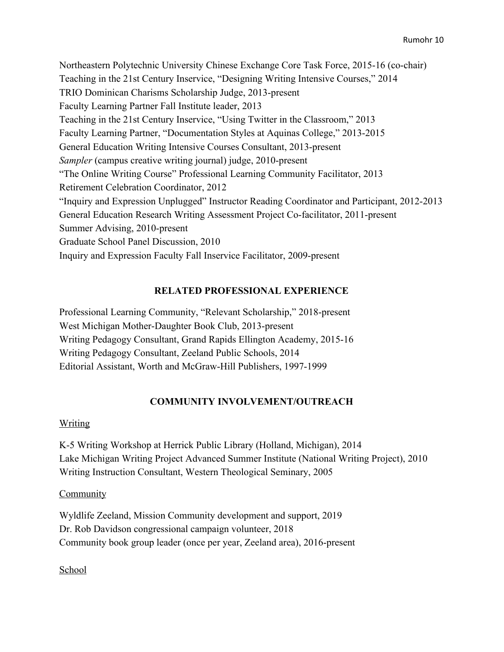Northeastern Polytechnic University Chinese Exchange Core Task Force, 2015-16 (co-chair) Teaching in the 21st Century Inservice, "Designing Writing Intensive Courses," 2014 TRIO Dominican Charisms Scholarship Judge, 2013-present Faculty Learning Partner Fall Institute leader, 2013 Teaching in the 21st Century Inservice, "Using Twitter in the Classroom," 2013 Faculty Learning Partner, "Documentation Styles at Aquinas College," 2013-2015 General Education Writing Intensive Courses Consultant, 2013-present *Sampler* (campus creative writing journal) judge, 2010-present "The Online Writing Course" Professional Learning Community Facilitator, 2013 Retirement Celebration Coordinator, 2012 "Inquiry and Expression Unplugged" Instructor Reading Coordinator and Participant, 2012-2013 General Education Research Writing Assessment Project Co-facilitator, 2011-present Summer Advising, 2010-present Graduate School Panel Discussion, 2010 Inquiry and Expression Faculty Fall Inservice Facilitator, 2009-present

# **RELATED PROFESSIONAL EXPERIENCE**

Professional Learning Community, "Relevant Scholarship," 2018-present West Michigan Mother-Daughter Book Club, 2013-present Writing Pedagogy Consultant, Grand Rapids Ellington Academy, 2015-16 Writing Pedagogy Consultant, Zeeland Public Schools, 2014 Editorial Assistant, Worth and McGraw-Hill Publishers, 1997-1999

# **COMMUNITY INVOLVEMENT/OUTREACH**

#### Writing

K-5 Writing Workshop at Herrick Public Library (Holland, Michigan), 2014 Lake Michigan Writing Project Advanced Summer Institute (National Writing Project), 2010 Writing Instruction Consultant, Western Theological Seminary, 2005

#### Community

Wyldlife Zeeland, Mission Community development and support, 2019 Dr. Rob Davidson congressional campaign volunteer, 2018 Community book group leader (once per year, Zeeland area), 2016-present

School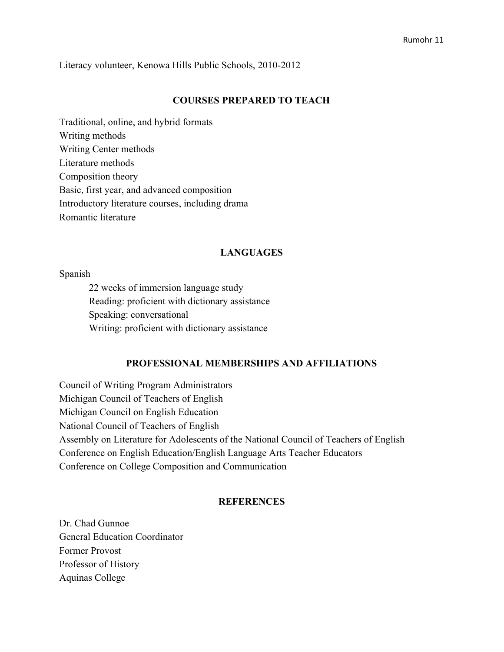Literacy volunteer, Kenowa Hills Public Schools, 2010-2012

#### **COURSES PREPARED TO TEACH**

Traditional, online, and hybrid formats Writing methods Writing Center methods Literature methods Composition theory Basic, first year, and advanced composition Introductory literature courses, including drama Romantic literature

#### **LANGUAGES**

#### Spanish

22 weeks of immersion language study Reading: proficient with dictionary assistance Speaking: conversational Writing: proficient with dictionary assistance

#### **PROFESSIONAL MEMBERSHIPS AND AFFILIATIONS**

Council of Writing Program Administrators Michigan Council of Teachers of English Michigan Council on English Education National Council of Teachers of English Assembly on Literature for Adolescents of the National Council of Teachers of English Conference on English Education/English Language Arts Teacher Educators Conference on College Composition and Communication

#### **REFERENCES**

Dr. Chad Gunnoe General Education Coordinator Former Provost Professor of History Aquinas College